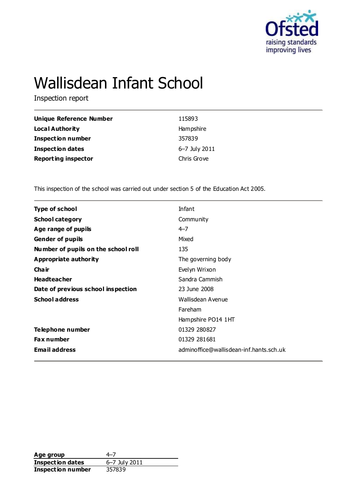

# Wallisdean Infant School

Inspection report

| Unique Reference Number    | 115893        |
|----------------------------|---------------|
| <b>Local Authority</b>     | Hampshire     |
| <b>Inspection number</b>   | 357839        |
| <b>Inspection dates</b>    | 6-7 July 2011 |
| <b>Reporting inspector</b> | Chris Grove   |

This inspection of the school was carried out under section 5 of the Education Act 2005.

| <b>Type of school</b>               | Infant                                  |
|-------------------------------------|-----------------------------------------|
| <b>School category</b>              | Community                               |
| Age range of pupils                 | $4 - 7$                                 |
| <b>Gender of pupils</b>             | Mixed                                   |
| Number of pupils on the school roll | 135                                     |
| Appropriate authority               | The governing body                      |
| Cha ir                              | Evelyn Wrixon                           |
| <b>Headteacher</b>                  | Sandra Cammish                          |
| Date of previous school inspection  | 23 June 2008                            |
| <b>School address</b>               | Wallisdean Avenue                       |
|                                     | Fareham                                 |
|                                     | Hampshire PO14 1HT                      |
| Telephone number                    | 01329 280827                            |
| <b>Fax number</b>                   | 01329 281681                            |
| <b>Email address</b>                | adminoffice@wallisdean-inf.hants.sch.uk |
|                                     |                                         |

**Age group** 4–7<br> **Inspection dates** 6–7 July 2011 **Inspection dates** 6–7 July 2011 **Inspection number** 357839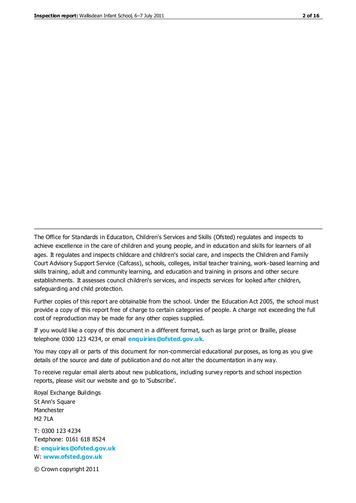The Office for Standards in Education, Children's Services and Skills (Ofsted) regulates and inspects to achieve excellence in the care of children and young people, and in education and skills for learners of all ages. It regulates and inspects childcare and children's social care, and inspects the Children and Family Court Advisory Support Service (Cafcass), schools, colleges, initial teacher training, work-based learning and skills training, adult and community learning, and education and training in prisons and other secure establishments. It assesses council children's services, and inspects services for looked after children, safeguarding and child protection.

Further copies of this report are obtainable from the school. Under the Education Act 2005, the school must provide a copy of this report free of charge to certain categories of people. A charge not exceeding the full cost of reproduction may be made for any other copies supplied.

If you would like a copy of this document in a different format, such as large print or Braille, please telephone 0300 123 4234, or email **[enquiries@ofsted.gov.uk](mailto:enquiries@ofsted.gov.uk)**.

You may copy all or parts of this document for non-commercial educational purposes, as long as you give details of the source and date of publication and do not alter the documentation in any way.

To receive regular email alerts about new publications, including survey reports and school inspection reports, please visit our website and go to 'Subscribe'.

Royal Exchange Buildings St Ann's Square Manchester M2 7LA T: 0300 123 4234 Textphone: 0161 618 8524 E: **[enquiries@ofsted.gov.uk](mailto:enquiries@ofsted.gov.uk)**

W: **[www.ofsted.gov.uk](http://www.ofsted.gov.uk/)**

© Crown copyright 2011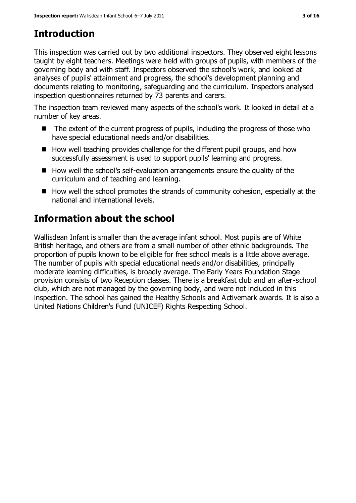# **Introduction**

This inspection was carried out by two additional inspectors. They observed eight lessons taught by eight teachers. Meetings were held with groups of pupils, with members of the governing body and with staff. Inspectors observed the school's work, and looked at analyses of pupils' attainment and progress, the school's development planning and documents relating to monitoring, safeguarding and the curriculum. Inspectors analysed inspection questionnaires returned by 73 parents and carers.

The inspection team reviewed many aspects of the school's work. It looked in detail at a number of key areas.

- The extent of the current progress of pupils, including the progress of those who have special educational needs and/or disabilities.
- How well teaching provides challenge for the different pupil groups, and how successfully assessment is used to support pupils' learning and progress.
- How well the school's self-evaluation arrangements ensure the quality of the curriculum and of teaching and learning.
- $\blacksquare$  How well the school promotes the strands of community cohesion, especially at the national and international levels.

# **Information about the school**

Wallisdean Infant is smaller than the average infant school. Most pupils are of White British heritage, and others are from a small number of other ethnic backgrounds. The proportion of pupils known to be eligible for free school meals is a little above average. The number of pupils with special educational needs and/or disabilities, principally moderate learning difficulties, is broadly average. The Early Years Foundation Stage provision consists of two Reception classes. There is a breakfast club and an after-school club, which are not managed by the governing body, and were not included in this inspection. The school has gained the Healthy Schools and Activemark awards. It is also a United Nations Children's Fund (UNICEF) Rights Respecting School.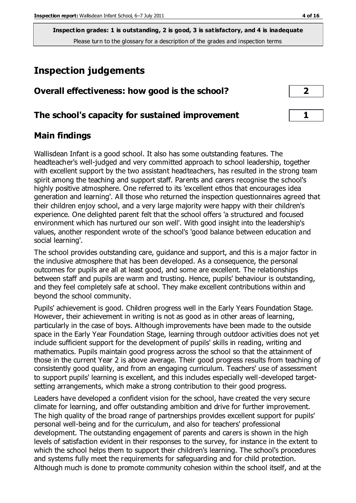# **Inspection judgements**

| Overall effectiveness: how good is the school?  | $\overline{2}$ |
|-------------------------------------------------|----------------|
| The school's capacity for sustained improvement |                |

## **Main findings**

Wallisdean Infant is a good school. It also has some outstanding features. The headteacher's well-judged and very committed approach to school leadership, together with excellent support by the two assistant headteachers, has resulted in the strong team spirit among the teaching and support staff. Parents and carers recognise the school's highly positive atmosphere. One referred to its 'excellent ethos that encourages idea generation and learning'. All those who returned the inspection questionnaires agreed that their children enjoy school, and a very large majority were happy with their children's experience. One delighted parent felt that the school offers 'a structured and focused environment which has nurtured our son well'. With good insight into the leadership's values, another respondent wrote of the school's 'good balance between education and social learning'.

The school provides outstanding care, guidance and support, and this is a major factor in the inclusive atmosphere that has been developed. As a consequence, the personal outcomes for pupils are all at least good, and some are excellent. The relationships between staff and pupils are warm and trusting. Hence, pupils' behaviour is outstanding, and they feel completely safe at school. They make excellent contributions within and beyond the school community.

Pupils' achievement is good. Children progress well in the Early Years Foundation Stage. However, their achievement in writing is not as good as in other areas of learning, particularly in the case of boys. Although improvements have been made to the outside space in the Early Year Foundation Stage, learning through outdoor activities does not yet include sufficient support for the development of pupils' skills in reading, writing and mathematics. Pupils maintain good progress across the school so that the attainment of those in the current Year 2 is above average. Their good progress results from teaching of consistently good quality, and from an engaging curriculum. Teachers' use of assessment to support pupils' learning is excellent, and this includes especially well-developed targetsetting arrangements, which make a strong contribution to their good progress.

Leaders have developed a confident vision for the school, have created the very secure climate for learning, and offer outstanding ambition and drive for further improvement. The high quality of the broad range of partnerships provides excellent support for pupils' personal well-being and for the curriculum, and also for teachers' professional development. The outstanding engagement of parents and carers is shown in the high levels of satisfaction evident in their responses to the survey, for instance in the extent to which the school helps them to support their children's learning. The school's procedures and systems fully meet the requirements for safeguarding and for child protection. Although much is done to promote community cohesion within the school itself, and at the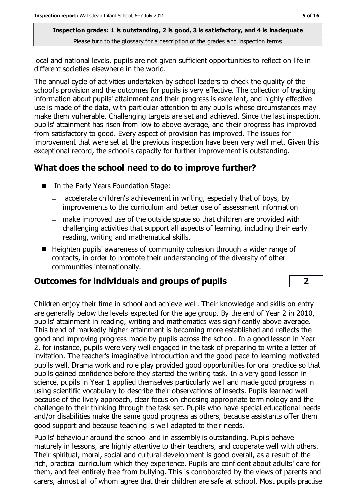local and national levels, pupils are not given sufficient opportunities to reflect on life in different societies elsewhere in the world.

The annual cycle of activities undertaken by school leaders to check the quality of the school's provision and the outcomes for pupils is very effective. The collection of tracking information about pupils' attainment and their progress is excellent, and highly effective use is made of the data, with particular attention to any pupils whose circumstances may make them vulnerable. Challenging targets are set and achieved. Since the last inspection, pupils' attainment has risen from low to above average, and their progress has improved from satisfactory to good. Every aspect of provision has improved. The issues for improvement that were set at the previous inspection have been very well met. Given this exceptional record, the school's capacity for further improvement is outstanding.

## **What does the school need to do to improve further?**

- In the Early Years Foundation Stage:
	- accelerate children's achievement in writing, especially that of boys, by improvements to the curriculum and better use of assessment information
	- make improved use of the outside space so that children are provided with challenging activities that support all aspects of learning, including their early reading, writing and mathematical skills.
- Heighten pupils' awareness of community cohesion through a wider range of contacts, in order to promote their understanding of the diversity of other communities internationally.

## **Outcomes for individuals and groups of pupils 2**

Children enjoy their time in school and achieve well. Their knowledge and skills on entry are generally below the levels expected for the age group. By the end of Year 2 in 2010, pupils' attainment in reading, writing and mathematics was significantly above average. This trend of markedly higher attainment is becoming more established and reflects the good and improving progress made by pupils across the school. In a good lesson in Year 2, for instance, pupils were very well engaged in the task of preparing to write a letter of invitation. The teacher's imaginative introduction and the good pace to learning motivated pupils well. Drama work and role play provided good opportunities for oral practice so that pupils gained confidence before they started the writing task. In a very good lesson in science, pupils in Year 1 applied themselves particularly well and made good progress in using scientific vocabulary to describe their observations of insects. Pupils learned well because of the lively approach, clear focus on choosing appropriate terminology and the challenge to their thinking through the task set. Pupils who have special educational needs and/or disabilities make the same good progress as others, because assistants offer them good support and because teaching is well adapted to their needs.

Pupils' behaviour around the school and in assembly is outstanding. Pupils behave maturely in lessons, are highly attentive to their teachers, and cooperate well with others. Their spiritual, moral, social and cultural development is good overall, as a result of the rich, practical curriculum which they experience. Pupils are confident about adults' care for them, and feel entirely free from bullying. This is corroborated by the views of parents and carers, almost all of whom agree that their children are safe at school. Most pupils practise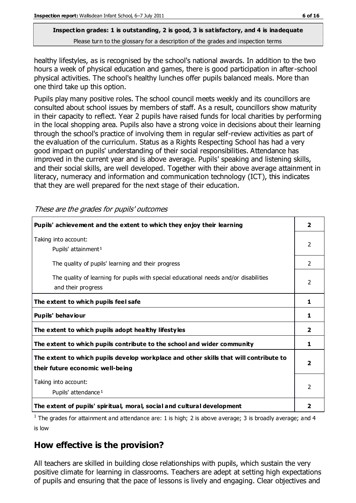healthy lifestyles, as is recognised by the school's national awards. In addition to the two hours a week of physical education and games, there is good participation in after-school physical activities. The school's healthy lunches offer pupils balanced meals. More than one third take up this option.

Pupils play many positive roles. The school council meets weekly and its councillors are consulted about school issues by members of staff. As a result, councillors show maturity in their capacity to reflect. Year 2 pupils have raised funds for local charities by performing in the local shopping area. Pupils also have a strong voice in decisions about their learning through the school's practice of involving them in regular self-review activities as part of the evaluation of the curriculum. Status as a Rights Respecting School has had a very good impact on pupils' understanding of their social responsibilities. Attendance has improved in the current year and is above average. Pupils' speaking and listening skills, and their social skills, are well developed. Together with their above average attainment in literacy, numeracy and information and communication technology (ICT), this indicates that they are well prepared for the next stage of their education.

These are the grades for pupils' outcomes

| Pupils' achievement and the extent to which they enjoy their learning                                                     | $\overline{\mathbf{2}}$ |
|---------------------------------------------------------------------------------------------------------------------------|-------------------------|
| Taking into account:<br>Pupils' attainment <sup>1</sup>                                                                   | $\overline{2}$          |
| The quality of pupils' learning and their progress                                                                        | 2                       |
| The quality of learning for pupils with special educational needs and/or disabilities<br>and their progress               | $\mathcal{P}$           |
| The extent to which pupils feel safe                                                                                      | 1                       |
| Pupils' behaviour                                                                                                         | 1                       |
| The extent to which pupils adopt healthy lifestyles                                                                       | $\overline{2}$          |
| The extent to which pupils contribute to the school and wider community                                                   | 1                       |
| The extent to which pupils develop workplace and other skills that will contribute to<br>their future economic well-being | $\overline{\mathbf{2}}$ |
| Taking into account:<br>Pupils' attendance <sup>1</sup>                                                                   | 2                       |
| The extent of pupils' spiritual, moral, social and cultural development                                                   | $\overline{\mathbf{2}}$ |

<sup>1</sup> The grades for attainment and attendance are: 1 is high; 2 is above average; 3 is broadly average; and 4 is low

## **How effective is the provision?**

All teachers are skilled in building close relationships with pupils, which sustain the very positive climate for learning in classrooms. Teachers are adept at setting high expectations of pupils and ensuring that the pace of lessons is lively and engaging. Clear objectives and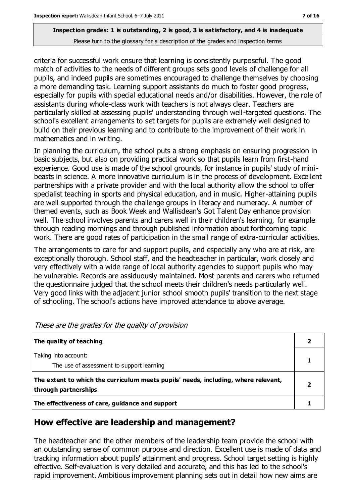criteria for successful work ensure that learning is consistently purposeful. The good match of activities to the needs of different groups sets good levels of challenge for all pupils, and indeed pupils are sometimes encouraged to challenge themselves by choosing a more demanding task. Learning support assistants do much to foster good progress, especially for pupils with special educational needs and/or disabilities. However, the role of assistants during whole-class work with teachers is not always clear. Teachers are particularly skilled at assessing pupils' understanding through well-targeted questions. The school's excellent arrangements to set targets for pupils are extremely well designed to build on their previous learning and to contribute to the improvement of their work in mathematics and in writing.

In planning the curriculum, the school puts a strong emphasis on ensuring progression in basic subjects, but also on providing practical work so that pupils learn from first-hand experience. Good use is made of the school grounds, for instance in pupils' study of minibeasts in science. A more innovative curriculum is in the process of development. Excellent partnerships with a private provider and with the local authority allow the school to offer specialist teaching in sports and physical education, and in music. Higher-attaining pupils are well supported through the challenge groups in literacy and numeracy. A number of themed events, such as Book Week and Wallisdean's Got Talent Day enhance provision well. The school involves parents and carers well in their children's learning, for example through reading mornings and through published information about forthcoming topic work. There are good rates of participation in the small range of extra-curricular activities.

The arrangements to care for and support pupils, and especially any who are at risk, are exceptionally thorough. School staff, and the headteacher in particular, work closely and very effectively with a wide range of local authority agencies to support pupils who may be vulnerable. Records are assiduously maintained. Most parents and carers who returned the questionnaire judged that the school meets their children's needs particularly well. Very good links with the adjacent junior school smooth pupils' transition to the next stage of schooling. The school's actions have improved attendance to above average.

| The quality of teaching                                                                                    |   |
|------------------------------------------------------------------------------------------------------------|---|
| Taking into account:<br>The use of assessment to support learning                                          |   |
| The extent to which the curriculum meets pupils' needs, including, where relevant,<br>through partnerships | 2 |
| The effectiveness of care, guidance and support                                                            |   |

## **How effective are leadership and management?**

The headteacher and the other members of the leadership team provide the school with an outstanding sense of common purpose and direction. Excellent use is made of data and tracking information about pupils' attainment and progress. School target setting is highly effective. Self-evaluation is very detailed and accurate, and this has led to the school's rapid improvement. Ambitious improvement planning sets out in detail how new aims are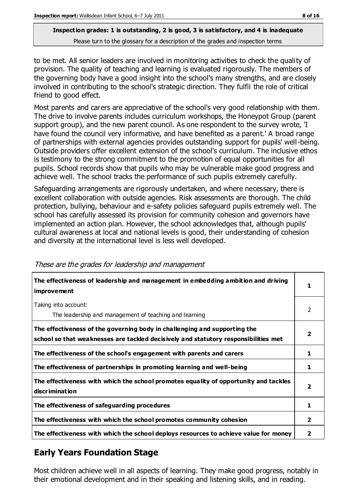to be met. All senior leaders are involved in monitoring activities to check the quality of provision. The quality of teaching and learning is evaluated rigorously. The members of the governing body have a good insight into the school's many strengths, and are closely involved in contributing to the school's strategic direction. They fulfil the role of critical friend to good effect.

Most parents and carers are appreciative of the school's very good relationship with them. The drive to involve parents includes curriculum workshops, the Honeypot Group (parent support group), and the new parent council. As one respondent to the survey wrote, 'I have found the council very informative, and have benefited as a parent.' A broad range of partnerships with external agencies provides outstanding support for pupils' well-being. Outside providers offer excellent extension of the school's curriculum. The inclusive ethos is testimony to the strong commitment to the promotion of equal opportunities for all pupils. School records show that pupils who may be vulnerable make good progress and achieve well. The school tracks the performance of such pupils extremely carefully.

Safeguarding arrangements are rigorously undertaken, and where necessary, there is excellent collaboration with outside agencies. Risk assessments are thorough. The child protection, bullying, behaviour and e-safety policies safeguard pupils extremely well. The school has carefully assessed its provision for community cohesion and governors have implemented an action plan. However, the school acknowledges that, although pupils' cultural awareness at local and national levels is good, their understanding of cohesion and diversity at the international level is less well developed.

| The effectiveness of leadership and management in embedding ambition and driving<br>improvement                                                                  |                         |
|------------------------------------------------------------------------------------------------------------------------------------------------------------------|-------------------------|
| Taking into account:<br>The leadership and management of teaching and learning                                                                                   | 2                       |
| The effectiveness of the governing body in challenging and supporting the<br>school so that weaknesses are tackled decisively and statutory responsibilities met | $\overline{\mathbf{2}}$ |
| The effectiveness of the school's engagement with parents and carers                                                                                             | 1                       |
| The effectiveness of partnerships in promoting learning and well-being                                                                                           | 1                       |
| The effectiveness with which the school promotes equality of opportunity and tackles<br>discrimination                                                           | $\overline{\mathbf{2}}$ |
| The effectiveness of safeguarding procedures                                                                                                                     | 1                       |
| The effectiveness with which the school promotes community cohesion                                                                                              | $\mathbf{2}$            |
| The effectiveness with which the school deploys resources to achieve value for money                                                                             | $\overline{\mathbf{2}}$ |

#### These are the grades for leadership and management

## **Early Years Foundation Stage**

Most children achieve well in all aspects of learning. They make good progress, notably in their emotional development and in their speaking and listening skills, and in reading.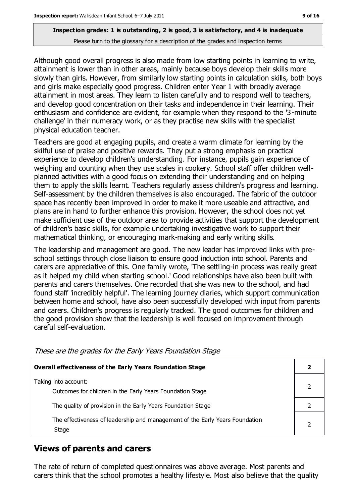Although good overall progress is also made from low starting points in learning to write, attainment is lower than in other areas, mainly because boys develop their skills more slowly than girls. However, from similarly low starting points in calculation skills, both boys and girls make especially good progress. Children enter Year 1 with broadly average attainment in most areas. They learn to listen carefully and to respond well to teachers, and develop good concentration on their tasks and independence in their learning. Their enthusiasm and confidence are evident, for example when they respond to the '3-minute challenge' in their numeracy work, or as they practise new skills with the specialist physical education teacher.

Teachers are good at engaging pupils, and create a warm climate for learning by the skilful use of praise and positive rewards. They put a strong emphasis on practical experience to develop children's understanding. For instance, pupils gain experience of weighing and counting when they use scales in cookery. School staff offer children wellplanned activities with a good focus on extending their understanding and on helping them to apply the skills learnt. Teachers regularly assess children's progress and learning. Self-assessment by the children themselves is also encouraged. The fabric of the outdoor space has recently been improved in order to make it more useable and attractive, and plans are in hand to further enhance this provision. However, the school does not yet make sufficient use of the outdoor area to provide activities that support the development of children's basic skills, for example undertaking investigative work to support their mathematical thinking, or encouraging mark-making and early writing skills.

The leadership and management are good. The new leader has improved links with preschool settings through close liaison to ensure good induction into school. Parents and carers are appreciative of this. One family wrote, 'The settling-in process was really great as it helped my child when starting school.' Good relationships have also been built with parents and carers themselves. One recorded that she was new to the school, and had found staff 'incredibly helpful'. The learning journey diaries, which support communication between home and school, have also been successfully developed with input from parents and carers. Children's progress is regularly tracked. The good outcomes for children and the good provision show that the leadership is well focused on improvement through careful self-evaluation.

| <b>Overall effectiveness of the Early Years Foundation Stage</b>                      |  |
|---------------------------------------------------------------------------------------|--|
| Taking into account:<br>Outcomes for children in the Early Years Foundation Stage     |  |
| The quality of provision in the Early Years Foundation Stage                          |  |
| The effectiveness of leadership and management of the Early Years Foundation<br>Stage |  |

These are the grades for the Early Years Foundation Stage

## **Views of parents and carers**

The rate of return of completed questionnaires was above average. Most parents and carers think that the school promotes a healthy lifestyle. Most also believe that the quality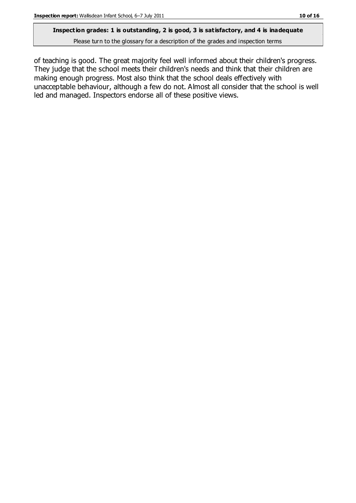#### **Inspection grades: 1 is outstanding, 2 is good, 3 is satisfactory, and 4 is inadequate**

Please turn to the glossary for a description of the grades and inspection terms

of teaching is good. The great majority feel well informed about their children's progress. They judge that the school meets their children's needs and think that their children are making enough progress. Most also think that the school deals effectively with unacceptable behaviour, although a few do not. Almost all consider that the school is well led and managed. Inspectors endorse all of these positive views.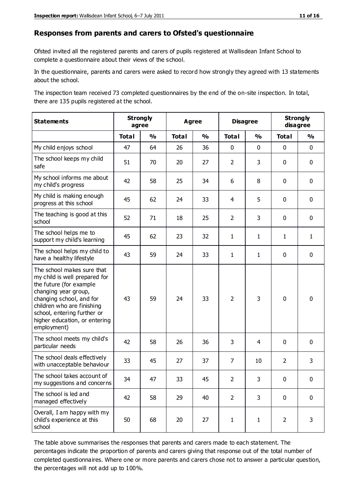#### **Responses from parents and carers to Ofsted's questionnaire**

Ofsted invited all the registered parents and carers of pupils registered at Wallisdean Infant School to complete a questionnaire about their views of the school.

In the questionnaire, parents and carers were asked to record how strongly they agreed with 13 statements about the school.

The inspection team received 73 completed questionnaires by the end of the on-site inspection. In total, there are 135 pupils registered at the school.

| <b>Statements</b>                                                                                                                                                                                                                                       | <b>Strongly</b><br>agree |               |              | <b>Agree</b>            |                | <b>Disagree</b> | <b>Strongly</b><br>disagree |               |
|---------------------------------------------------------------------------------------------------------------------------------------------------------------------------------------------------------------------------------------------------------|--------------------------|---------------|--------------|-------------------------|----------------|-----------------|-----------------------------|---------------|
|                                                                                                                                                                                                                                                         | <b>Total</b>             | $\frac{1}{2}$ | <b>Total</b> | $\mathbf{O}/\mathbf{o}$ | <b>Total</b>   | $\frac{1}{2}$   | <b>Total</b>                | $\frac{1}{2}$ |
| My child enjoys school                                                                                                                                                                                                                                  | 47                       | 64            | 26           | 36                      | 0              | $\mathbf 0$     | $\mathbf 0$                 | $\mathbf 0$   |
| The school keeps my child<br>safe                                                                                                                                                                                                                       | 51                       | 70            | 20           | 27                      | $\overline{2}$ | 3               | $\mathbf 0$                 | $\mathbf 0$   |
| My school informs me about<br>my child's progress                                                                                                                                                                                                       | 42                       | 58            | 25           | 34                      | 6              | 8               | $\mathbf 0$                 | $\mathbf 0$   |
| My child is making enough<br>progress at this school                                                                                                                                                                                                    | 45                       | 62            | 24           | 33                      | 4              | 5               | $\mathbf 0$                 | $\pmb{0}$     |
| The teaching is good at this<br>school                                                                                                                                                                                                                  | 52                       | 71            | 18           | 25                      | $\overline{2}$ | 3               | $\mathbf 0$                 | $\mathbf 0$   |
| The school helps me to<br>support my child's learning                                                                                                                                                                                                   | 45                       | 62            | 23           | 32                      | 1              | 1               | 1                           | $\mathbf{1}$  |
| The school helps my child to<br>have a healthy lifestyle                                                                                                                                                                                                | 43                       | 59            | 24           | 33                      | 1              | $\mathbf{1}$    | $\mathbf 0$                 | $\mathbf 0$   |
| The school makes sure that<br>my child is well prepared for<br>the future (for example<br>changing year group,<br>changing school, and for<br>children who are finishing<br>school, entering further or<br>higher education, or entering<br>employment) | 43                       | 59            | 24           | 33                      | $\overline{2}$ | 3               | $\mathbf 0$                 | $\mathbf 0$   |
| The school meets my child's<br>particular needs                                                                                                                                                                                                         | 42                       | 58            | 26           | 36                      | 3              | 4               | $\mathbf 0$                 | $\mathbf 0$   |
| The school deals effectively<br>with unacceptable behaviour                                                                                                                                                                                             | 33                       | 45            | 27           | 37                      | $\overline{7}$ | 10              | $\overline{2}$              | 3             |
| The school takes account of<br>my suggestions and concerns                                                                                                                                                                                              | 34                       | 47            | 33           | 45                      | $\mathcal{P}$  | 3               | $\Omega$                    | $\Omega$      |
| The school is led and<br>managed effectively                                                                                                                                                                                                            | 42                       | 58            | 29           | 40                      | $\overline{2}$ | 3               | $\mathbf 0$                 | $\mathbf 0$   |
| Overall, I am happy with my<br>child's experience at this<br>school                                                                                                                                                                                     | 50                       | 68            | 20           | 27                      | $\mathbf{1}$   | $\mathbf{1}$    | $\overline{2}$              | 3             |

The table above summarises the responses that parents and carers made to each statement. The percentages indicate the proportion of parents and carers giving that response out of the total number of completed questionnaires. Where one or more parents and carers chose not to answer a particular question, the percentages will not add up to 100%.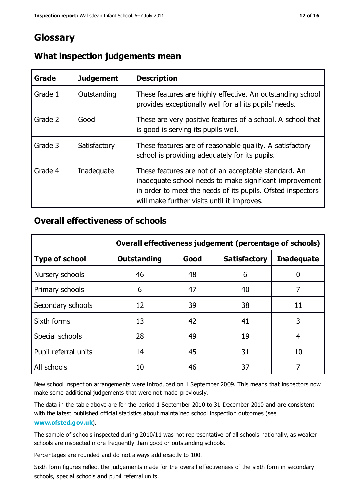## **Glossary**

| Grade   | <b>Judgement</b> | <b>Description</b>                                                                                                                                                                                                            |
|---------|------------------|-------------------------------------------------------------------------------------------------------------------------------------------------------------------------------------------------------------------------------|
| Grade 1 | Outstanding      | These features are highly effective. An outstanding school<br>provides exceptionally well for all its pupils' needs.                                                                                                          |
| Grade 2 | Good             | These are very positive features of a school. A school that<br>is good is serving its pupils well.                                                                                                                            |
| Grade 3 | Satisfactory     | These features are of reasonable quality. A satisfactory<br>school is providing adequately for its pupils.                                                                                                                    |
| Grade 4 | Inadequate       | These features are not of an acceptable standard. An<br>inadequate school needs to make significant improvement<br>in order to meet the needs of its pupils. Ofsted inspectors<br>will make further visits until it improves. |

## **What inspection judgements mean**

## **Overall effectiveness of schools**

|                       | Overall effectiveness judgement (percentage of schools) |      |                     |                   |
|-----------------------|---------------------------------------------------------|------|---------------------|-------------------|
| <b>Type of school</b> | <b>Outstanding</b>                                      | Good | <b>Satisfactory</b> | <b>Inadequate</b> |
| Nursery schools       | 46                                                      | 48   | 6                   |                   |
| Primary schools       | 6                                                       | 47   | 40                  | 7                 |
| Secondary schools     | 12                                                      | 39   | 38                  | 11                |
| Sixth forms           | 13                                                      | 42   | 41                  | 3                 |
| Special schools       | 28                                                      | 49   | 19                  | 4                 |
| Pupil referral units  | 14                                                      | 45   | 31                  | 10                |
| All schools           | 10                                                      | 46   | 37                  |                   |

New school inspection arrangements were introduced on 1 September 2009. This means that inspectors now make some additional judgements that were not made previously.

The data in the table above are for the period 1 September 2010 to 31 December 2010 and are consistent with the latest published official statistics about maintained school inspection outcomes (see **[www.ofsted.gov.uk](http://www.ofsted.gov.uk/)**).

The sample of schools inspected during 2010/11 was not representative of all schools nationally, as weaker schools are inspected more frequently than good or outstanding schools.

Percentages are rounded and do not always add exactly to 100.

Sixth form figures reflect the judgements made for the overall effectiveness of the sixth form in secondary schools, special schools and pupil referral units.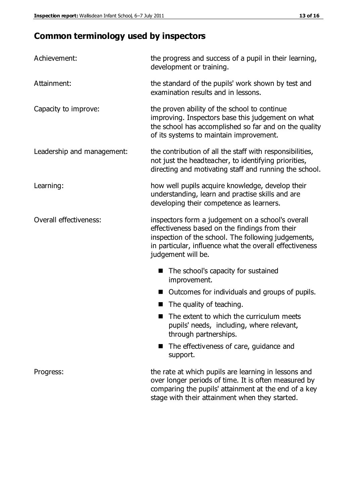## **Common terminology used by inspectors**

| Achievement:               | the progress and success of a pupil in their learning,<br>development or training.                                                                                                                                                          |  |  |
|----------------------------|---------------------------------------------------------------------------------------------------------------------------------------------------------------------------------------------------------------------------------------------|--|--|
| Attainment:                | the standard of the pupils' work shown by test and<br>examination results and in lessons.                                                                                                                                                   |  |  |
| Capacity to improve:       | the proven ability of the school to continue<br>improving. Inspectors base this judgement on what<br>the school has accomplished so far and on the quality<br>of its systems to maintain improvement.                                       |  |  |
| Leadership and management: | the contribution of all the staff with responsibilities,<br>not just the headteacher, to identifying priorities,<br>directing and motivating staff and running the school.                                                                  |  |  |
| Learning:                  | how well pupils acquire knowledge, develop their<br>understanding, learn and practise skills and are<br>developing their competence as learners.                                                                                            |  |  |
| Overall effectiveness:     | inspectors form a judgement on a school's overall<br>effectiveness based on the findings from their<br>inspection of the school. The following judgements,<br>in particular, influence what the overall effectiveness<br>judgement will be. |  |  |
|                            | The school's capacity for sustained<br>improvement.                                                                                                                                                                                         |  |  |
|                            | Outcomes for individuals and groups of pupils.                                                                                                                                                                                              |  |  |
|                            | The quality of teaching.                                                                                                                                                                                                                    |  |  |
|                            | The extent to which the curriculum meets<br>pupils' needs, including, where relevant,<br>through partnerships.                                                                                                                              |  |  |
|                            | The effectiveness of care, guidance and<br>support.                                                                                                                                                                                         |  |  |
| Progress:                  | the rate at which pupils are learning in lessons and<br>over longer periods of time. It is often measured by<br>comparing the pupils' attainment at the end of a key                                                                        |  |  |

stage with their attainment when they started.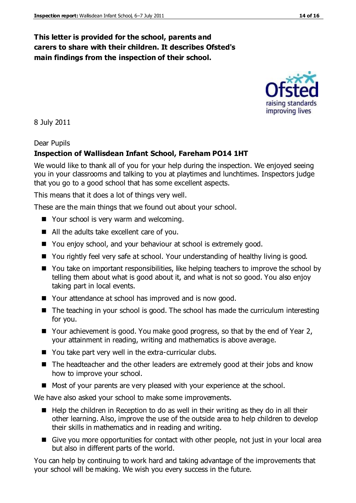## **This letter is provided for the school, parents and carers to share with their children. It describes Ofsted's main findings from the inspection of their school.**

8 July 2011

#### Dear Pupils

#### **Inspection of Wallisdean Infant School, Fareham PO14 1HT**

We would like to thank all of you for your help during the inspection. We enjoyed seeing you in your classrooms and talking to you at playtimes and lunchtimes. Inspectors judge that you go to a good school that has some excellent aspects.

This means that it does a lot of things very well.

These are the main things that we found out about your school.

- Your school is very warm and welcoming.
- All the adults take excellent care of you.
- You enjoy school, and your behaviour at school is extremely good.
- You rightly feel very safe at school. Your understanding of healthy living is good.
- You take on important responsibilities, like helping teachers to improve the school by telling them about what is good about it, and what is not so good. You also enjoy taking part in local events.
- Your attendance at school has improved and is now good.
- The teaching in your school is good. The school has made the curriculum interesting for you.
- Your achievement is good. You make good progress, so that by the end of Year 2, your attainment in reading, writing and mathematics is above average.
- You take part very well in the extra-curricular clubs.
- The headteacher and the other leaders are extremely good at their jobs and know how to improve your school.
- Most of your parents are very pleased with your experience at the school.

We have also asked your school to make some improvements.

- $\blacksquare$  Help the children in Reception to do as well in their writing as they do in all their other learning. Also, improve the use of the outside area to help children to develop their skills in mathematics and in reading and writing.
- Give you more opportunities for contact with other people, not just in your local area but also in different parts of the world.

You can help by continuing to work hard and taking advantage of the improvements that your school will be making. We wish you every success in the future.

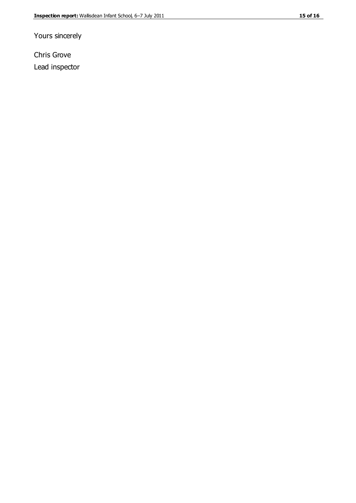Yours sincerely

Chris Grove Lead inspector